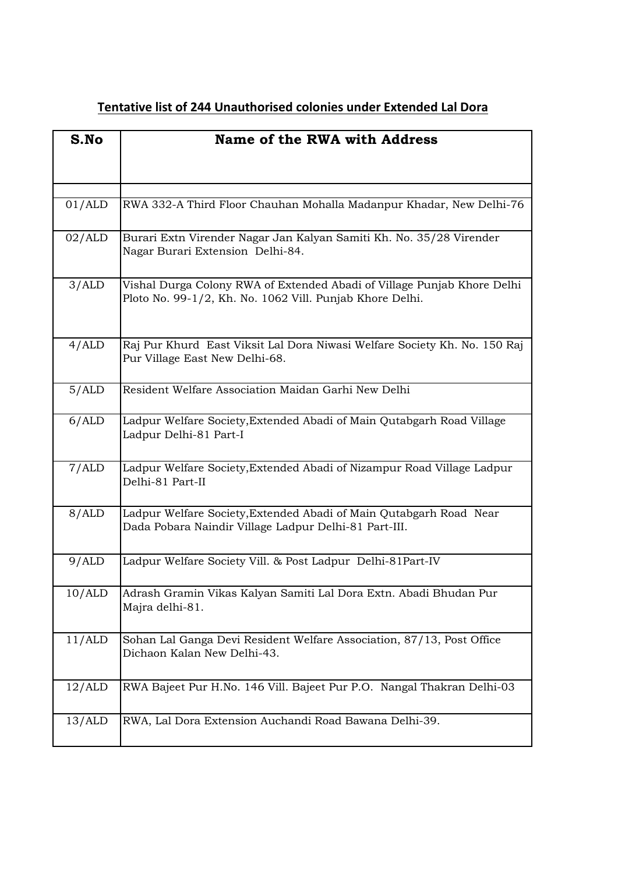| S.No   | <b>Name of the RWA with Address</b>                                                                                                 |
|--------|-------------------------------------------------------------------------------------------------------------------------------------|
|        |                                                                                                                                     |
| 01/ALD | RWA 332-A Third Floor Chauhan Mohalla Madanpur Khadar, New Delhi-76                                                                 |
| 02/ALD | Burari Extn Virender Nagar Jan Kalyan Samiti Kh. No. 35/28 Virender<br>Nagar Burari Extension Delhi-84.                             |
| 3/ALD  | Vishal Durga Colony RWA of Extended Abadi of Village Punjab Khore Delhi<br>Ploto No. 99-1/2, Kh. No. 1062 Vill. Punjab Khore Delhi. |
| 4/ALD  | Raj Pur Khurd East Viksit Lal Dora Niwasi Welfare Society Kh. No. 150 Raj<br>Pur Village East New Delhi-68.                         |
| 5/ALD  | Resident Welfare Association Maidan Garhi New Delhi                                                                                 |
| 6/ALD  | Ladpur Welfare Society, Extended Abadi of Main Qutabgarh Road Village<br>Ladpur Delhi-81 Part-I                                     |
| 7/ALD  | Ladpur Welfare Society, Extended Abadi of Nizampur Road Village Ladpur<br>Delhi-81 Part-II                                          |
| 8/ALD  | Ladpur Welfare Society, Extended Abadi of Main Qutabgarh Road Near<br>Dada Pobara Naindir Village Ladpur Delhi-81 Part-III.         |
| 9/ALD  | Ladpur Welfare Society Vill. & Post Ladpur Delhi-81Part-IV                                                                          |
| 10/ALD | Adrash Gramin Vikas Kalyan Samiti Lal Dora Extn. Abadi Bhudan Pur<br>Majra delhi-81.                                                |
| 11/ALD | Sohan Lal Ganga Devi Resident Welfare Association, 87/13, Post Office<br>Dichaon Kalan New Delhi-43.                                |
| 12/ALD | RWA Bajeet Pur H.No. 146 Vill. Bajeet Pur P.O. Nangal Thakran Delhi-03                                                              |
| 13/ALD | RWA, Lal Dora Extension Auchandi Road Bawana Delhi-39.                                                                              |

## **Tentative list of 244 Unauthorised colonies under Extended Lal Dora**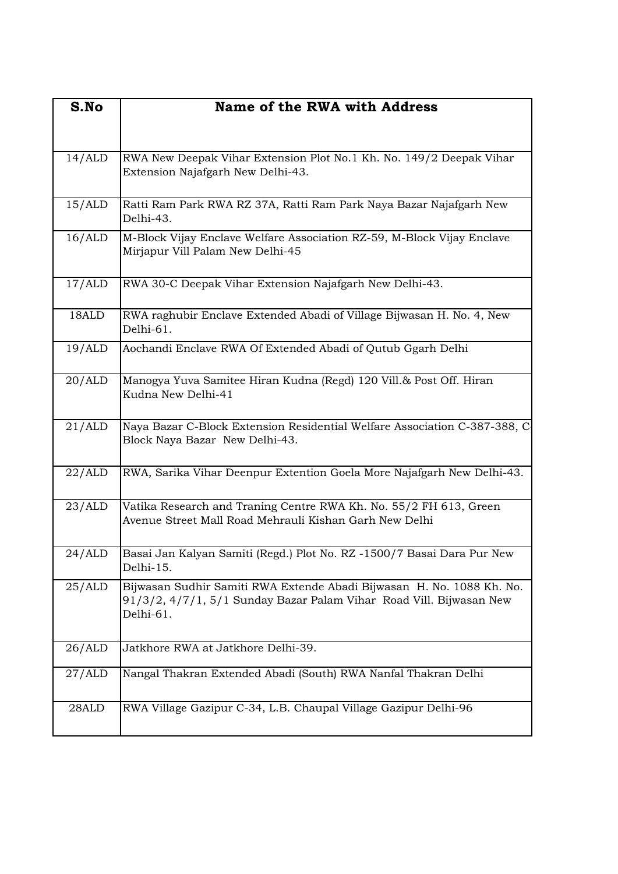| S.No   | <b>Name of the RWA with Address</b>                                                                                                                       |
|--------|-----------------------------------------------------------------------------------------------------------------------------------------------------------|
| 14/ALD | RWA New Deepak Vihar Extension Plot No.1 Kh. No. 149/2 Deepak Vihar<br>Extension Najafgarh New Delhi-43.                                                  |
| 15/ALD | Ratti Ram Park RWA RZ 37A, Ratti Ram Park Naya Bazar Najafgarh New<br>Delhi-43.                                                                           |
| 16/ALD | M-Block Vijay Enclave Welfare Association RZ-59, M-Block Vijay Enclave<br>Mirjapur Vill Palam New Delhi-45                                                |
| 17/ALD | RWA 30-C Deepak Vihar Extension Najafgarh New Delhi-43.                                                                                                   |
| 18ALD  | RWA raghubir Enclave Extended Abadi of Village Bijwasan H. No. 4, New<br>Delhi-61.                                                                        |
| 19/ALD | Aochandi Enclave RWA Of Extended Abadi of Qutub Ggarh Delhi                                                                                               |
| 20/ALD | Manogya Yuva Samitee Hiran Kudna (Regd) 120 Vill.& Post Off. Hiran<br>Kudna New Delhi-41                                                                  |
| 21/ALD | Naya Bazar C-Block Extension Residential Welfare Association C-387-388, C-<br>Block Naya Bazar New Delhi-43.                                              |
| 22/ALD | RWA, Sarika Vihar Deenpur Extention Goela More Najafgarh New Delhi-43.                                                                                    |
| 23/ALD | Vatika Research and Traning Centre RWA Kh. No. 55/2 FH 613, Green<br>Avenue Street Mall Road Mehrauli Kishan Garh New Delhi                               |
| 24/ALD | Basai Jan Kalyan Samiti (Regd.) Plot No. RZ -1500/7 Basai Dara Pur New<br>Delhi-15.                                                                       |
| 25/ALD | Bijwasan Sudhir Samiti RWA Extende Abadi Bijwasan H. No. 1088 Kh. No.<br>91/3/2, 4/7/1, 5/1 Sunday Bazar Palam Vihar Road Vill. Bijwasan New<br>Delhi-61. |
| 26/ALD | Jatkhore RWA at Jatkhore Delhi-39.                                                                                                                        |
| 27/ALD | Nangal Thakran Extended Abadi (South) RWA Nanfal Thakran Delhi                                                                                            |
| 28ALD  | RWA Village Gazipur C-34, L.B. Chaupal Village Gazipur Delhi-96                                                                                           |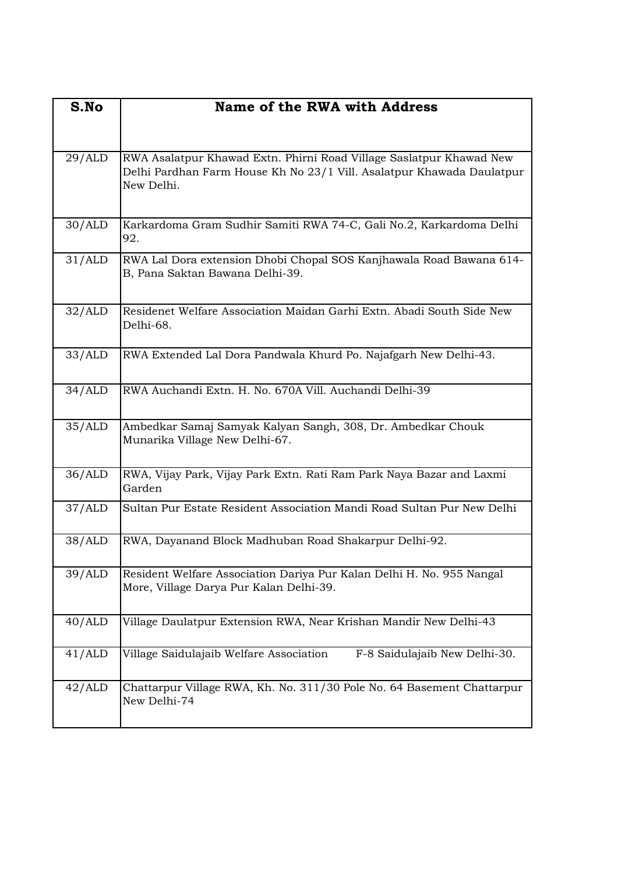| S.No   | Name of the RWA with Address                                                                                                                               |
|--------|------------------------------------------------------------------------------------------------------------------------------------------------------------|
|        |                                                                                                                                                            |
| 29/ALD | RWA Asalatpur Khawad Extn. Phirni Road Village Saslatpur Khawad New<br>Delhi Pardhan Farm House Kh No 23/1 Vill. Asalatpur Khawada Daulatpur<br>New Delhi. |
| 30/ALD | Karkardoma Gram Sudhir Samiti RWA 74-C, Gali No.2, Karkardoma Delhi<br>92.                                                                                 |
| 31/ALD | RWA Lal Dora extension Dhobi Chopal SOS Kanjhawala Road Bawana 614-<br>B, Pana Saktan Bawana Delhi-39.                                                     |
| 32/ALD | Residenet Welfare Association Maidan Garhi Extn. Abadi South Side New<br>Delhi-68.                                                                         |
| 33/ALD | RWA Extended Lal Dora Pandwala Khurd Po. Najafgarh New Delhi-43.                                                                                           |
| 34/ALD | RWA Auchandi Extn. H. No. 670A Vill. Auchandi Delhi-39                                                                                                     |
| 35/ALD | Ambedkar Samaj Samyak Kalyan Sangh, 308, Dr. Ambedkar Chouk<br>Munarika Village New Delhi-67.                                                              |
| 36/ALD | RWA, Vijay Park, Vijay Park Extn. Rati Ram Park Naya Bazar and Laxmi<br>Garden                                                                             |
| 37/ALD | Sultan Pur Estate Resident Association Mandi Road Sultan Pur New Delhi                                                                                     |
| 38/ALD | RWA, Dayanand Block Madhuban Road Shakarpur Delhi-92.                                                                                                      |
| 39/ALD | Resident Welfare Association Dariya Pur Kalan Delhi H. No. 955 Nangal<br>More, Village Darya Pur Kalan Delhi-39.                                           |
| 40/ALD | Village Daulatpur Extension RWA, Near Krishan Mandir New Delhi-43                                                                                          |
| 41/ALD | F-8 Saidulajaib New Delhi-30.<br>Village Saidulajaib Welfare Association                                                                                   |
| 42/ALD | Chattarpur Village RWA, Kh. No. 311/30 Pole No. 64 Basement Chattarpur<br>New Delhi-74                                                                     |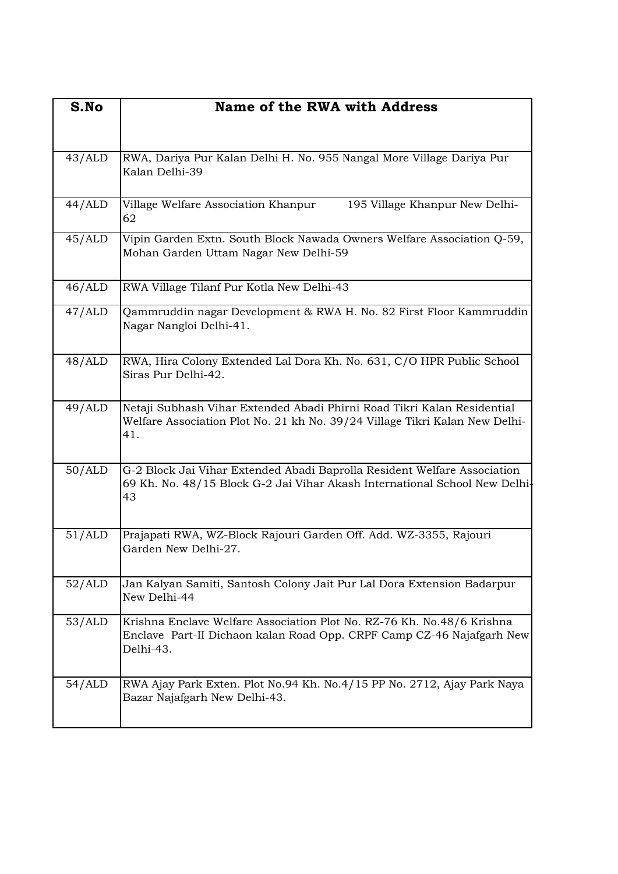| S.No   | Name of the RWA with Address                                                                                                                                  |
|--------|---------------------------------------------------------------------------------------------------------------------------------------------------------------|
| 43/ALD | RWA, Dariya Pur Kalan Delhi H. No. 955 Nangal More Village Dariya Pur<br>Kalan Delhi-39                                                                       |
| 44/ALD | Village Welfare Association Khanpur<br>195 Village Khanpur New Delhi-<br>62                                                                                   |
| 45/ALD | Vipin Garden Extn. South Block Nawada Owners Welfare Association Q-59,<br>Mohan Garden Uttam Nagar New Delhi-59                                               |
| 46/ALD | RWA Village Tilanf Pur Kotla New Delhi-43                                                                                                                     |
| 47/ALD | Qammruddin nagar Development & RWA H. No. 82 First Floor Kammruddin<br>Nagar Nangloi Delhi-41.                                                                |
| 48/ALD | RWA, Hira Colony Extended Lal Dora Kh. No. 631, C/O HPR Public School<br>Siras Pur Delhi-42.                                                                  |
| 49/ALD | Netaji Subhash Vihar Extended Abadi Phirni Road Tikri Kalan Residential<br>Welfare Association Plot No. 21 kh No. 39/24 Village Tikri Kalan New Delhi-<br>41. |
| 50/ALD | G-2 Block Jai Vihar Extended Abadi Baprolla Resident Welfare Association<br>69 Kh. No. 48/15 Block G-2 Jai Vihar Akash International School New Delhi-<br>43  |
| 51/ALD | Prajapati RWA, WZ-Block Rajouri Garden Off. Add. WZ-3355, Rajouri<br>Garden New Delhi-27.                                                                     |
| 52/ALD | Jan Kalyan Samiti, Santosh Colony Jait Pur Lal Dora Extension Badarpur<br>New Delhi-44                                                                        |
| 53/ALD | Krishna Enclave Welfare Association Plot No. RZ-76 Kh. No.48/6 Krishna<br>Enclave Part-II Dichaon kalan Road Opp. CRPF Camp CZ-46 Najafgarh New<br>Delhi-43.  |
| 54/ALD | RWA Ajay Park Exten. Plot No.94 Kh. No.4/15 PP No. 2712, Ajay Park Naya<br>Bazar Najafgarh New Delhi-43.                                                      |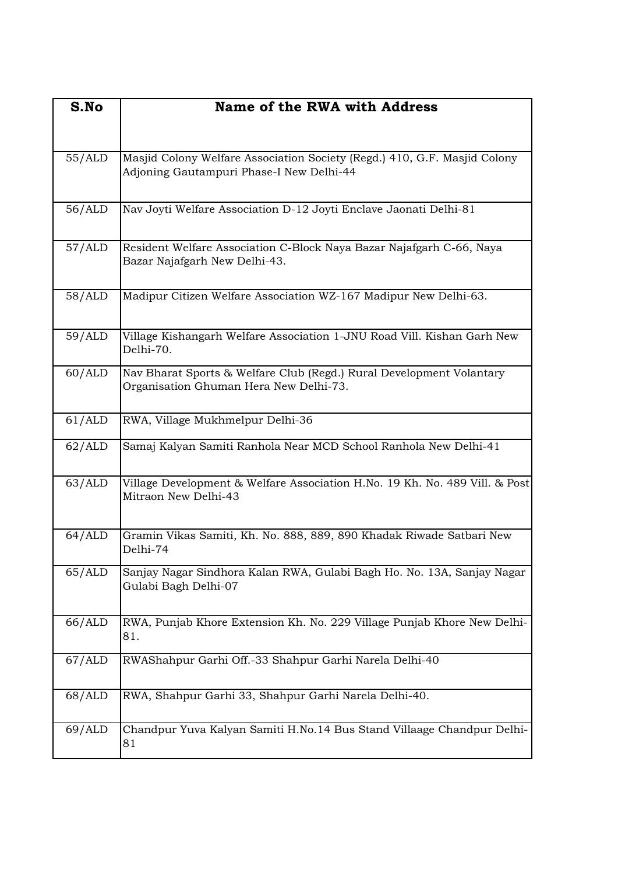| S.No   | <b>Name of the RWA with Address</b>                                                                                   |
|--------|-----------------------------------------------------------------------------------------------------------------------|
| 55/ALD | Masjid Colony Welfare Association Society (Regd.) 410, G.F. Masjid Colony<br>Adjoning Gautampuri Phase-I New Delhi-44 |
| 56/ALD | Nav Joyti Welfare Association D-12 Joyti Enclave Jaonati Delhi-81                                                     |
| 57/ALD | Resident Welfare Association C-Block Naya Bazar Najafgarh C-66, Naya<br>Bazar Najafgarh New Delhi-43.                 |
| 58/ALD | Madipur Citizen Welfare Association WZ-167 Madipur New Delhi-63.                                                      |
| 59/ALD | Village Kishangarh Welfare Association 1-JNU Road Vill. Kishan Garh New<br>Delhi-70.                                  |
| 60/ALD | Nav Bharat Sports & Welfare Club (Regd.) Rural Development Volantary<br>Organisation Ghuman Hera New Delhi-73.        |
| 61/ALD | RWA, Village Mukhmelpur Delhi-36                                                                                      |
| 62/ALD | Samaj Kalyan Samiti Ranhola Near MCD School Ranhola New Delhi-41                                                      |
| 63/ALD | Village Development & Welfare Association H.No. 19 Kh. No. 489 Vill. & Post<br>Mitraon New Delhi-43                   |
| 64/ALD | Gramin Vikas Samiti, Kh. No. 888, 889, 890 Khadak Riwade Satbari New<br>Delhi-74                                      |
| 65/ALD | Sanjay Nagar Sindhora Kalan RWA, Gulabi Bagh Ho. No. 13A, Sanjay Nagar<br>Gulabi Bagh Delhi-07                        |
| 66/ALD | RWA, Punjab Khore Extension Kh. No. 229 Village Punjab Khore New Delhi-<br>81.                                        |
| 67/ALD | RWAShahpur Garhi Off.-33 Shahpur Garhi Narela Delhi-40                                                                |
| 68/ALD | RWA, Shahpur Garhi 33, Shahpur Garhi Narela Delhi-40.                                                                 |
| 69/ALD | Chandpur Yuva Kalyan Samiti H.No.14 Bus Stand Villaage Chandpur Delhi-<br>81                                          |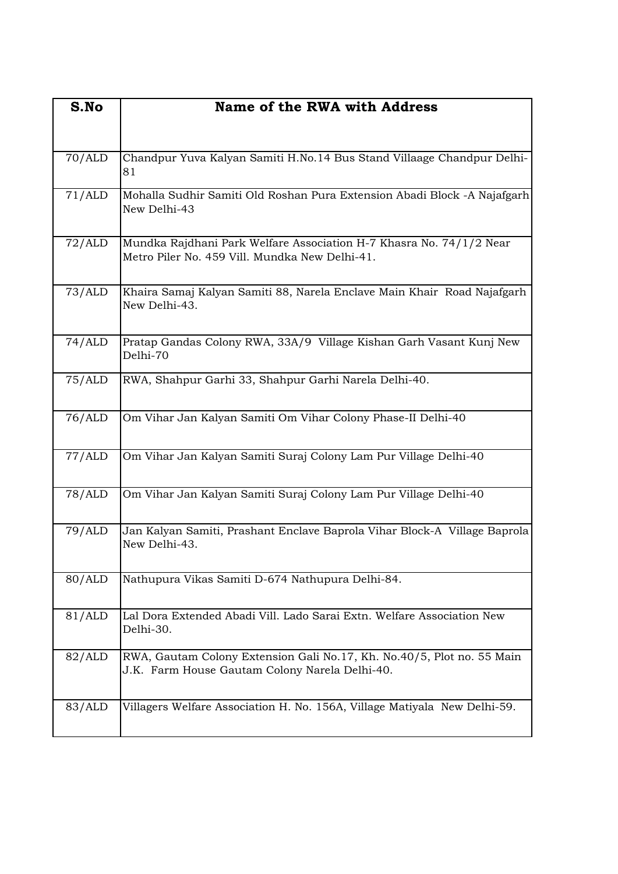| S.No   | <b>Name of the RWA with Address</b>                                                                                      |
|--------|--------------------------------------------------------------------------------------------------------------------------|
|        |                                                                                                                          |
| 70/ALD | Chandpur Yuva Kalyan Samiti H.No.14 Bus Stand Villaage Chandpur Delhi-<br>81                                             |
| 71/ALD | Mohalla Sudhir Samiti Old Roshan Pura Extension Abadi Block -A Najafgarh<br>New Delhi-43                                 |
| 72/ALD | Mundka Rajdhani Park Welfare Association H-7 Khasra No. 74/1/2 Near<br>Metro Piler No. 459 Vill. Mundka New Delhi-41.    |
| 73/ALD | Khaira Samaj Kalyan Samiti 88, Narela Enclave Main Khair Road Najafgarh<br>New Delhi-43.                                 |
| 74/ALD | Pratap Gandas Colony RWA, 33A/9 Village Kishan Garh Vasant Kunj New<br>Delhi-70                                          |
| 75/ALD | RWA, Shahpur Garhi 33, Shahpur Garhi Narela Delhi-40.                                                                    |
| 76/ALD | Om Vihar Jan Kalyan Samiti Om Vihar Colony Phase-II Delhi-40                                                             |
| 77/ALD | Om Vihar Jan Kalyan Samiti Suraj Colony Lam Pur Village Delhi-40                                                         |
| 78/ALD | Om Vihar Jan Kalyan Samiti Suraj Colony Lam Pur Village Delhi-40                                                         |
| 79/ALD | Jan Kalyan Samiti, Prashant Enclave Baprola Vihar Block-A Village Baprola<br>New Delhi-43.                               |
| 80/ALD | Nathupura Vikas Samiti D-674 Nathupura Delhi-84.                                                                         |
| 81/ALD | Lal Dora Extended Abadi Vill. Lado Sarai Extn. Welfare Association New<br>Delhi-30.                                      |
| 82/ALD | RWA, Gautam Colony Extension Gali No.17, Kh. No.40/5, Plot no. 55 Main<br>J.K. Farm House Gautam Colony Narela Delhi-40. |
| 83/ALD | Villagers Welfare Association H. No. 156A, Village Matiyala New Delhi-59.                                                |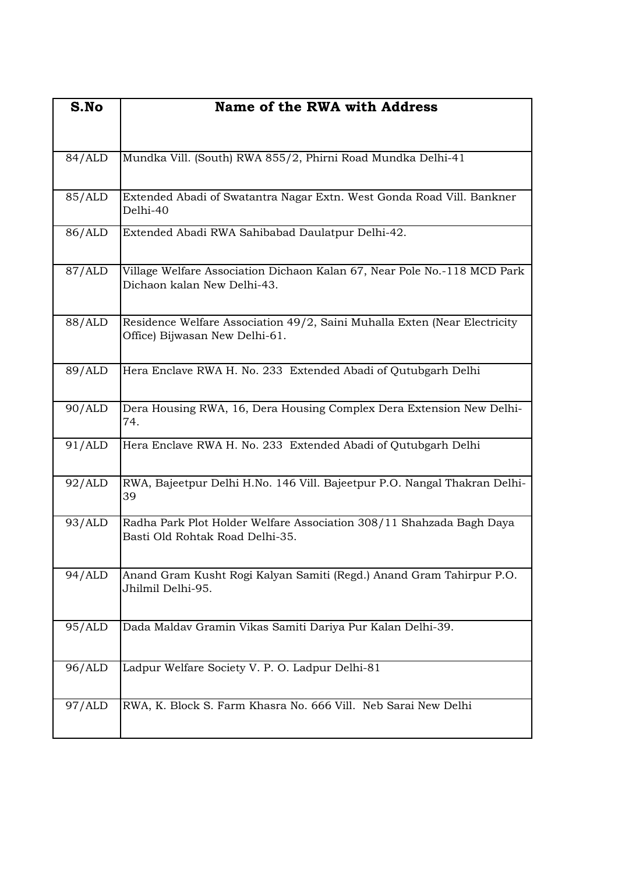| S.No   | Name of the RWA with Address                                                                                |
|--------|-------------------------------------------------------------------------------------------------------------|
| 84/ALD | Mundka Vill. (South) RWA 855/2, Phirni Road Mundka Delhi-41                                                 |
| 85/ALD | Extended Abadi of Swatantra Nagar Extn. West Gonda Road Vill. Bankner<br>Delhi-40                           |
| 86/ALD | Extended Abadi RWA Sahibabad Daulatpur Delhi-42.                                                            |
| 87/ALD | Village Welfare Association Dichaon Kalan 67, Near Pole No.-118 MCD Park<br>Dichaon kalan New Delhi-43.     |
| 88/ALD | Residence Welfare Association 49/2, Saini Muhalla Exten (Near Electricity<br>Office) Bijwasan New Delhi-61. |
| 89/ALD | Hera Enclave RWA H. No. 233 Extended Abadi of Qutubgarh Delhi                                               |
| 90/ALD | Dera Housing RWA, 16, Dera Housing Complex Dera Extension New Delhi-<br>74.                                 |
| 91/ALD | Hera Enclave RWA H. No. 233 Extended Abadi of Qutubgarh Delhi                                               |
| 92/ALD | RWA, Bajeetpur Delhi H.No. 146 Vill. Bajeetpur P.O. Nangal Thakran Delhi-<br>39                             |
| 93/ALD | Radha Park Plot Holder Welfare Association 308/11 Shahzada Bagh Daya<br>Basti Old Rohtak Road Delhi-35.     |
| 94/ALD | Anand Gram Kusht Rogi Kalyan Samiti (Regd.) Anand Gram Tahirpur P.O.<br>Jhilmil Delhi-95.                   |
| 95/ALD | Dada Maldav Gramin Vikas Samiti Dariya Pur Kalan Delhi-39.                                                  |
| 96/ALD | Ladpur Welfare Society V. P. O. Ladpur Delhi-81                                                             |
| 97/ALD | RWA, K. Block S. Farm Khasra No. 666 Vill. Neb Sarai New Delhi                                              |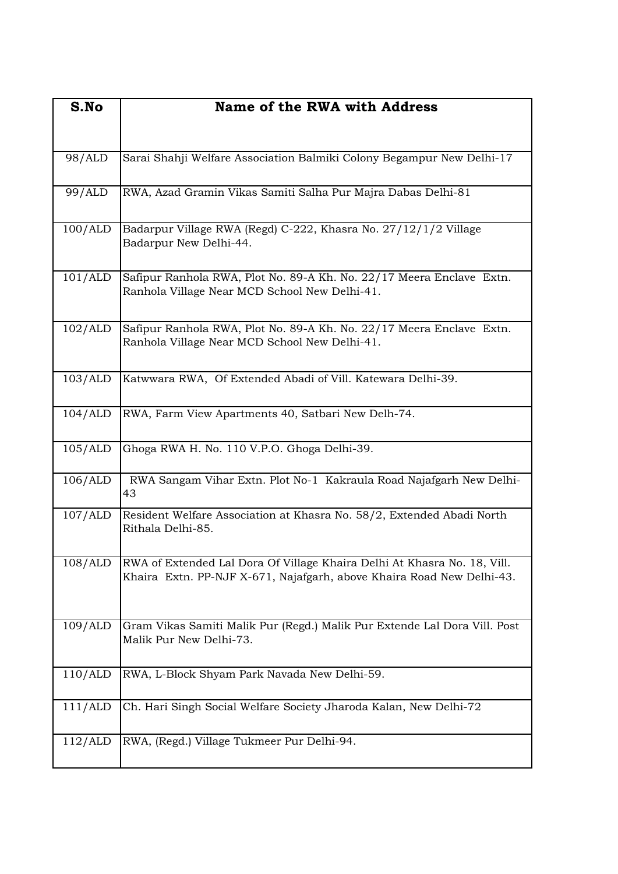| S.No    | <b>Name of the RWA with Address</b>                                                                                                               |
|---------|---------------------------------------------------------------------------------------------------------------------------------------------------|
| 98/ALD  | Sarai Shahji Welfare Association Balmiki Colony Begampur New Delhi-17                                                                             |
| 99/ALD  | RWA, Azad Gramin Vikas Samiti Salha Pur Majra Dabas Delhi-81                                                                                      |
| 100/ALD | Badarpur Village RWA (Regd) C-222, Khasra No. 27/12/1/2 Village<br>Badarpur New Delhi-44.                                                         |
| 101/ALD | Safipur Ranhola RWA, Plot No. 89-A Kh. No. 22/17 Meera Enclave Extn.<br>Ranhola Village Near MCD School New Delhi-41.                             |
| 102/ALD | Safipur Ranhola RWA, Plot No. 89-A Kh. No. 22/17 Meera Enclave Extn.<br>Ranhola Village Near MCD School New Delhi-41.                             |
| 103/ALD | Katwwara RWA, Of Extended Abadi of Vill. Katewara Delhi-39.                                                                                       |
| 104/ALD | RWA, Farm View Apartments 40, Satbari New Delh-74.                                                                                                |
| 105/ALD | Ghoga RWA H. No. 110 V.P.O. Ghoga Delhi-39.                                                                                                       |
| 106/ALD | RWA Sangam Vihar Extn. Plot No-1 Kakraula Road Najafgarh New Delhi-<br>43                                                                         |
| 107/ALD | Resident Welfare Association at Khasra No. 58/2, Extended Abadi North<br>Rithala Delhi-85.                                                        |
| 108/ALD | RWA of Extended Lal Dora Of Village Khaira Delhi At Khasra No. 18, Vill.<br>Khaira Extn. PP-NJF X-671, Najafgarh, above Khaira Road New Delhi-43. |
| 109/ALD | Gram Vikas Samiti Malik Pur (Regd.) Malik Pur Extende Lal Dora Vill. Post<br>Malik Pur New Delhi-73.                                              |
| 110/ALD | RWA, L-Block Shyam Park Navada New Delhi-59.                                                                                                      |
| 111/ALD | Ch. Hari Singh Social Welfare Society Jharoda Kalan, New Delhi-72                                                                                 |
| 112/ALD | RWA, (Regd.) Village Tukmeer Pur Delhi-94.                                                                                                        |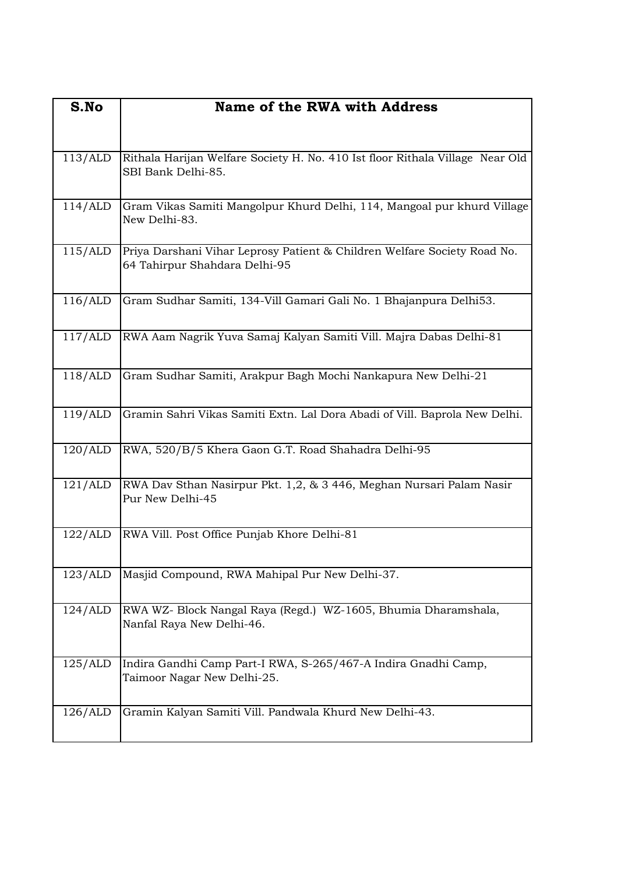| S.No    | <b>Name of the RWA with Address</b>                                                                       |
|---------|-----------------------------------------------------------------------------------------------------------|
|         |                                                                                                           |
| 113/ALD | Rithala Harijan Welfare Society H. No. 410 Ist floor Rithala Village Near Old<br>SBI Bank Delhi-85.       |
| 114/ALD | Gram Vikas Samiti Mangolpur Khurd Delhi, 114, Mangoal pur khurd Village<br>New Delhi-83.                  |
| 115/ALD | Priya Darshani Vihar Leprosy Patient & Children Welfare Society Road No.<br>64 Tahirpur Shahdara Delhi-95 |
| 116/ALD | Gram Sudhar Samiti, 134-Vill Gamari Gali No. 1 Bhajanpura Delhi53.                                        |
| 117/ALD | RWA Aam Nagrik Yuva Samaj Kalyan Samiti Vill. Majra Dabas Delhi-81                                        |
| 118/ALD | Gram Sudhar Samiti, Arakpur Bagh Mochi Nankapura New Delhi-21                                             |
| 119/ALD | Gramin Sahri Vikas Samiti Extn. Lal Dora Abadi of Vill. Baprola New Delhi.                                |
| 120/ALD | RWA, 520/B/5 Khera Gaon G.T. Road Shahadra Delhi-95                                                       |
| 121/ALD | RWA Dav Sthan Nasirpur Pkt. 1,2, & 3 446, Meghan Nursari Palam Nasir<br>Pur New Delhi-45                  |
| 122/ALD | RWA Vill. Post Office Punjab Khore Delhi-81                                                               |
| 123/ALD | Masjid Compound, RWA Mahipal Pur New Delhi-37.                                                            |
| 124/ALD | RWA WZ- Block Nangal Raya (Regd.) WZ-1605, Bhumia Dharamshala,<br>Nanfal Raya New Delhi-46.               |
| 125/ALD | Indira Gandhi Camp Part-I RWA, S-265/467-A Indira Gnadhi Camp,<br>Taimoor Nagar New Delhi-25.             |
| 126/ALD | Gramin Kalyan Samiti Vill. Pandwala Khurd New Delhi-43.                                                   |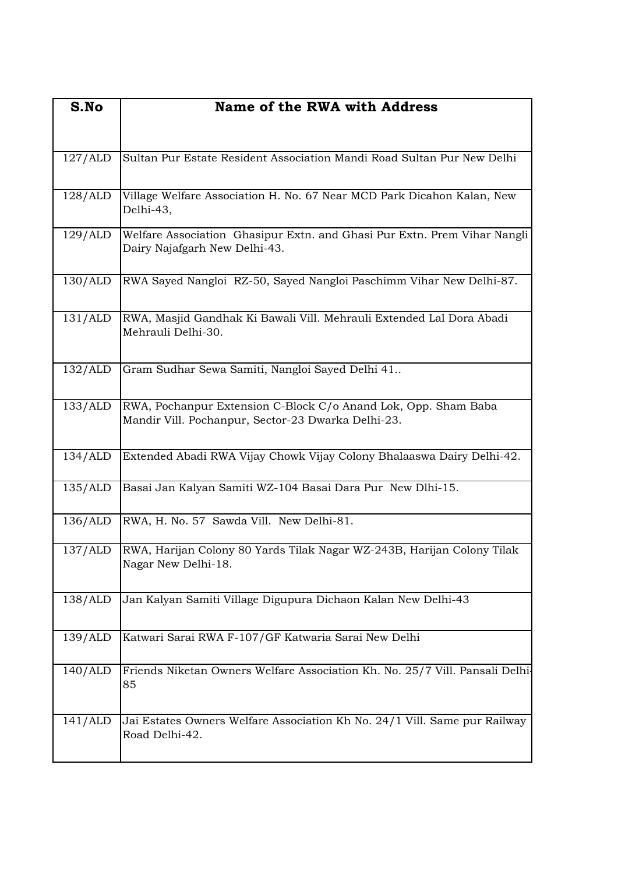| S.No    | <b>Name of the RWA with Address</b>                                                                                  |
|---------|----------------------------------------------------------------------------------------------------------------------|
|         |                                                                                                                      |
| 127/ALD | Sultan Pur Estate Resident Association Mandi Road Sultan Pur New Delhi                                               |
| 128/ALD | Village Welfare Association H. No. 67 Near MCD Park Dicahon Kalan, New<br>Delhi-43,                                  |
| 129/ALD | Welfare Association Ghasipur Extn. and Ghasi Pur Extn. Prem Vihar Nangli<br>Dairy Najafgarh New Delhi-43.            |
| 130/ALD | RWA Sayed Nangloi RZ-50, Sayed Nangloi Paschimm Vihar New Delhi-87.                                                  |
| 131/ALD | RWA, Masjid Gandhak Ki Bawali Vill. Mehrauli Extended Lal Dora Abadi<br>Mehrauli Delhi-30.                           |
| 132/ALD | Gram Sudhar Sewa Samiti, Nangloi Sayed Delhi 41                                                                      |
| 133/ALD | RWA, Pochanpur Extension C-Block C/o Anand Lok, Opp. Sham Baba<br>Mandir Vill. Pochanpur, Sector-23 Dwarka Delhi-23. |
| 134/ALD | Extended Abadi RWA Vijay Chowk Vijay Colony Bhalaaswa Dairy Delhi-42.                                                |
| 135/ALD | Basai Jan Kalyan Samiti WZ-104 Basai Dara Pur New Dlhi-15.                                                           |
| 136/ALD | RWA, H. No. 57 Sawda Vill. New Delhi-81.                                                                             |
| 137/ALD | RWA, Harijan Colony 80 Yards Tilak Nagar WZ-243B, Harijan Colony Tilak<br>Nagar New Delhi-18.                        |
| 138/ALD | Jan Kalyan Samiti Village Digupura Dichaon Kalan New Delhi-43                                                        |
| 139/ALD | Katwari Sarai RWA F-107/GF Katwaria Sarai New Delhi                                                                  |
| 140/ALD | Friends Niketan Owners Welfare Association Kh. No. 25/7 Vill. Pansali Delhi-<br>85                                   |
| 141/ALD | Jai Estates Owners Welfare Association Kh No. 24/1 Vill. Same pur Railway<br>Road Delhi-42.                          |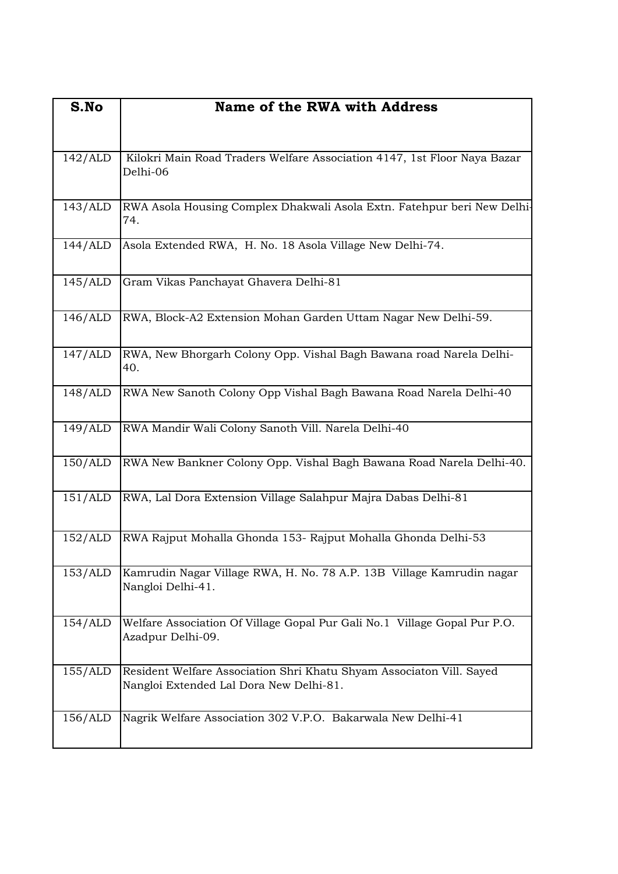| S.No    | <b>Name of the RWA with Address</b>                                                                             |
|---------|-----------------------------------------------------------------------------------------------------------------|
|         |                                                                                                                 |
| 142/ALD | Kilokri Main Road Traders Welfare Association 4147, 1st Floor Naya Bazar<br>Delhi-06                            |
| 143/ALD | RWA Asola Housing Complex Dhakwali Asola Extn. Fatehpur beri New Delhi-<br>74.                                  |
| 144/ALD | Asola Extended RWA, H. No. 18 Asola Village New Delhi-74.                                                       |
| 145/ALD | Gram Vikas Panchayat Ghavera Delhi-81                                                                           |
| 146/ALD | RWA, Block-A2 Extension Mohan Garden Uttam Nagar New Delhi-59.                                                  |
| 147/ALD | RWA, New Bhorgarh Colony Opp. Vishal Bagh Bawana road Narela Delhi-<br>40.                                      |
| 148/ALD | RWA New Sanoth Colony Opp Vishal Bagh Bawana Road Narela Delhi-40                                               |
| 149/ALD | RWA Mandir Wali Colony Sanoth Vill. Narela Delhi-40                                                             |
| 150/ALD | RWA New Bankner Colony Opp. Vishal Bagh Bawana Road Narela Delhi-40.                                            |
| 151/ALD | RWA, Lal Dora Extension Village Salahpur Majra Dabas Delhi-81                                                   |
| 152/ALD | RWA Rajput Mohalla Ghonda 153- Rajput Mohalla Ghonda Delhi-53                                                   |
| 153/ALD | Kamrudin Nagar Village RWA, H. No. 78 A.P. 13B Village Kamrudin nagar<br>Nangloi Delhi-41.                      |
| 154/ALD | Welfare Association Of Village Gopal Pur Gali No.1 Village Gopal Pur P.O.<br>Azadpur Delhi-09.                  |
| 155/ALD | Resident Welfare Association Shri Khatu Shyam Associaton Vill. Sayed<br>Nangloi Extended Lal Dora New Delhi-81. |
| 156/ALD | Nagrik Welfare Association 302 V.P.O. Bakarwala New Delhi-41                                                    |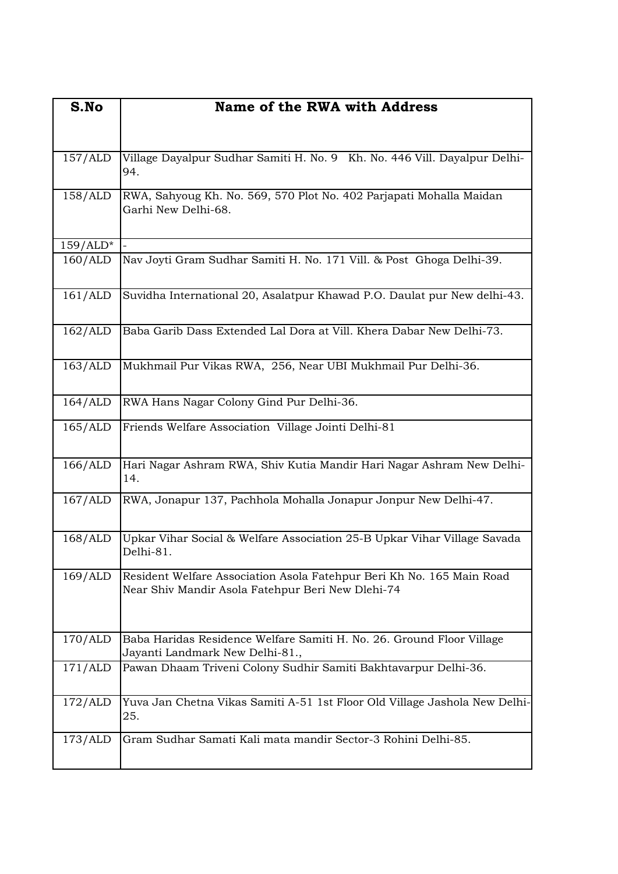| S.No       | <b>Name of the RWA with Address</b>                                                                                        |
|------------|----------------------------------------------------------------------------------------------------------------------------|
|            |                                                                                                                            |
| 157/ALD    | Village Dayalpur Sudhar Samiti H. No. 9 Kh. No. 446 Vill. Dayalpur Delhi-                                                  |
|            | 94.                                                                                                                        |
| 158/ALD    | RWA, Sahyoug Kh. No. 569, 570 Plot No. 402 Parjapati Mohalla Maidan<br>Garhi New Delhi-68.                                 |
| $159/ALD*$ |                                                                                                                            |
| 160/ALD    | Nav Joyti Gram Sudhar Samiti H. No. 171 Vill. & Post Ghoga Delhi-39.                                                       |
| 161/ALD    | Suvidha International 20, Asalatpur Khawad P.O. Daulat pur New delhi-43.                                                   |
| 162/ALD    | Baba Garib Dass Extended Lal Dora at Vill. Khera Dabar New Delhi-73.                                                       |
| 163/ALD    | Mukhmail Pur Vikas RWA, 256, Near UBI Mukhmail Pur Delhi-36.                                                               |
| 164/ALD    | RWA Hans Nagar Colony Gind Pur Delhi-36.                                                                                   |
| 165/ALD    | Friends Welfare Association Village Jointi Delhi-81                                                                        |
| 166/ALD    | Hari Nagar Ashram RWA, Shiv Kutia Mandir Hari Nagar Ashram New Delhi-<br>14.                                               |
| 167/ALD    | RWA, Jonapur 137, Pachhola Mohalla Jonapur Jonpur New Delhi-47.                                                            |
| 168/ALD    | Upkar Vihar Social & Welfare Association 25-B Upkar Vihar Village Savada<br>Delhi-81.                                      |
| 169/ALD    | Resident Welfare Association Asola Fatehpur Beri Kh No. 165 Main Road<br>Near Shiv Mandir Asola Fatehpur Beri New Dlehi-74 |
| 170/ALD    | Baba Haridas Residence Welfare Samiti H. No. 26. Ground Floor Village<br>Jayanti Landmark New Delhi-81.,                   |
| 171/ALD    | Pawan Dhaam Triveni Colony Sudhir Samiti Bakhtavarpur Delhi-36.                                                            |
| 172/ALD    | Yuva Jan Chetna Vikas Samiti A-51 1st Floor Old Village Jashola New Delhi-<br>25.                                          |
| 173/ALD    | Gram Sudhar Samati Kali mata mandir Sector-3 Rohini Delhi-85.                                                              |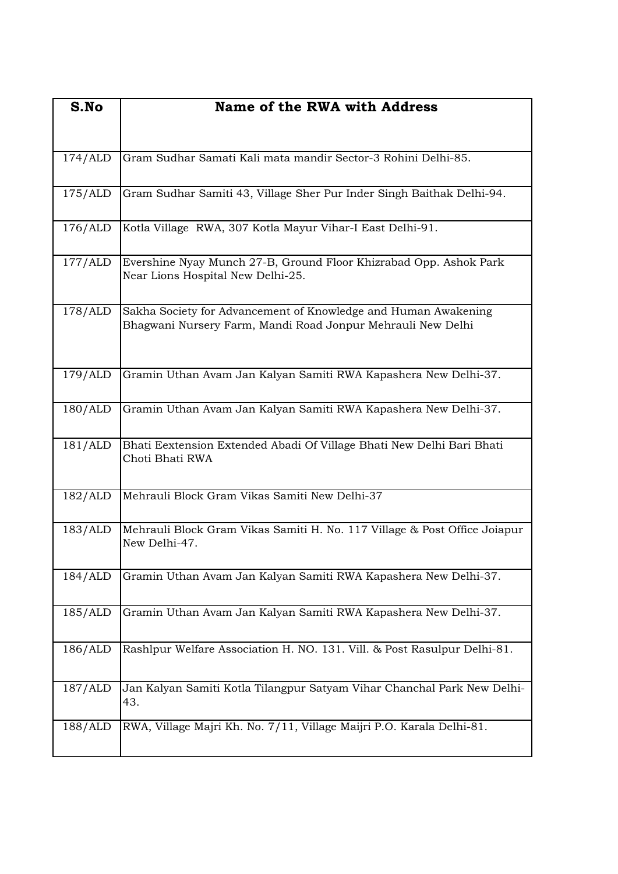| S.No    | Name of the RWA with Address                                                                                                  |
|---------|-------------------------------------------------------------------------------------------------------------------------------|
|         |                                                                                                                               |
| 174/ALD | Gram Sudhar Samati Kali mata mandir Sector-3 Rohini Delhi-85.                                                                 |
|         |                                                                                                                               |
| 175/ALD | Gram Sudhar Samiti 43, Village Sher Pur Inder Singh Baithak Delhi-94.                                                         |
| 176/ALD | Kotla Village RWA, 307 Kotla Mayur Vihar-I East Delhi-91.                                                                     |
| 177/ALD | Evershine Nyay Munch 27-B, Ground Floor Khizrabad Opp. Ashok Park<br>Near Lions Hospital New Delhi-25.                        |
| 178/ALD | Sakha Society for Advancement of Knowledge and Human Awakening<br>Bhagwani Nursery Farm, Mandi Road Jonpur Mehrauli New Delhi |
| 179/ALD | Gramin Uthan Avam Jan Kalyan Samiti RWA Kapashera New Delhi-37.                                                               |
| 180/ALD | Gramin Uthan Avam Jan Kalyan Samiti RWA Kapashera New Delhi-37.                                                               |
| 181/ALD | Bhati Eextension Extended Abadi Of Village Bhati New Delhi Bari Bhati<br>Choti Bhati RWA                                      |
| 182/ALD | Mehrauli Block Gram Vikas Samiti New Delhi-37                                                                                 |
| 183/ALD | Mehrauli Block Gram Vikas Samiti H. No. 117 Village & Post Office Joiapur<br>New Delhi-47.                                    |
| 184/ALD | Gramin Uthan Avam Jan Kalyan Samiti RWA Kapashera New Delhi-37.                                                               |
| 185/ALD | Gramin Uthan Avam Jan Kalyan Samiti RWA Kapashera New Delhi-37.                                                               |
| 186/ALD | Rashlpur Welfare Association H. NO. 131. Vill. & Post Rasulpur Delhi-81.                                                      |
| 187/ALD | Jan Kalyan Samiti Kotla Tilangpur Satyam Vihar Chanchal Park New Delhi-<br>43.                                                |
| 188/ALD | RWA, Village Majri Kh. No. 7/11, Village Maijri P.O. Karala Delhi-81.                                                         |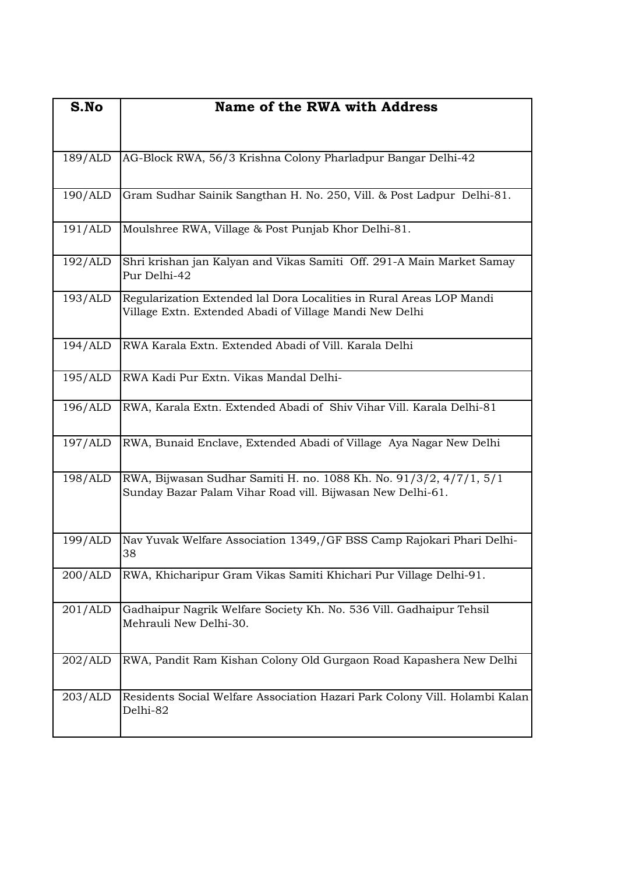| S.No    | Name of the RWA with Address                                                                                                     |
|---------|----------------------------------------------------------------------------------------------------------------------------------|
|         |                                                                                                                                  |
| 189/ALD | AG-Block RWA, 56/3 Krishna Colony Pharladpur Bangar Delhi-42                                                                     |
|         |                                                                                                                                  |
| 190/ALD | Gram Sudhar Sainik Sangthan H. No. 250, Vill. & Post Ladpur Delhi-81.                                                            |
| 191/ALD | Moulshree RWA, Village & Post Punjab Khor Delhi-81.                                                                              |
| 192/ALD | Shri krishan jan Kalyan and Vikas Samiti Off. 291-A Main Market Samay<br>Pur Delhi-42                                            |
| 193/ALD | Regularization Extended lal Dora Localities in Rural Areas LOP Mandi<br>Village Extn. Extended Abadi of Village Mandi New Delhi  |
| 194/ALD | RWA Karala Extn. Extended Abadi of Vill. Karala Delhi                                                                            |
| 195/ALD | RWA Kadi Pur Extn. Vikas Mandal Delhi-                                                                                           |
| 196/ALD | RWA, Karala Extn. Extended Abadi of Shiv Vihar Vill. Karala Delhi-81                                                             |
| 197/ALD | RWA, Bunaid Enclave, Extended Abadi of Village Aya Nagar New Delhi                                                               |
| 198/ALD | RWA, Bijwasan Sudhar Samiti H. no. 1088 Kh. No. 91/3/2, 4/7/1, 5/1<br>Sunday Bazar Palam Vihar Road vill. Bijwasan New Delhi-61. |
| 199/ALD | Nav Yuvak Welfare Association 1349,/GF BSS Camp Rajokari Phari Delhi-<br>38                                                      |
| 200/ALD | RWA, Khicharipur Gram Vikas Samiti Khichari Pur Village Delhi-91.                                                                |
| 201/ALD | Gadhaipur Nagrik Welfare Society Kh. No. 536 Vill. Gadhaipur Tehsil<br>Mehrauli New Delhi-30.                                    |
| 202/ALD | RWA, Pandit Ram Kishan Colony Old Gurgaon Road Kapashera New Delhi                                                               |
| 203/ALD | Residents Social Welfare Association Hazari Park Colony Vill. Holambi Kalan<br>Delhi-82                                          |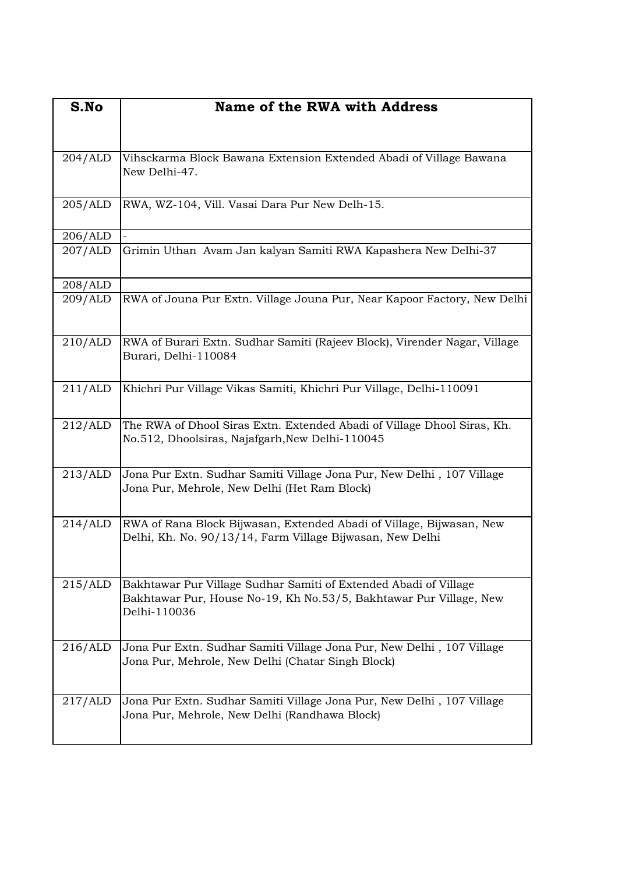| S.No    | Name of the RWA with Address                                                                                                                           |
|---------|--------------------------------------------------------------------------------------------------------------------------------------------------------|
|         |                                                                                                                                                        |
| 204/ALD | Vihsckarma Block Bawana Extension Extended Abadi of Village Bawana<br>New Delhi-47.                                                                    |
| 205/ALD | RWA, WZ-104, Vill. Vasai Dara Pur New Delh-15.                                                                                                         |
| 206/ALD |                                                                                                                                                        |
| 207/ALD | Grimin Uthan Avam Jan kalyan Samiti RWA Kapashera New Delhi-37                                                                                         |
| 208/ALD |                                                                                                                                                        |
| 209/ALD | RWA of Jouna Pur Extn. Village Jouna Pur, Near Kapoor Factory, New Delhi                                                                               |
| 210/ALD | RWA of Burari Extn. Sudhar Samiti (Rajeev Block), Virender Nagar, Village<br>Burari, Delhi-110084                                                      |
| 211/ALD | Khichri Pur Village Vikas Samiti, Khichri Pur Village, Delhi-110091                                                                                    |
| 212/ALD | The RWA of Dhool Siras Extn. Extended Abadi of Village Dhool Siras, Kh.<br>No.512, Dhoolsiras, Najafgarh, New Delhi-110045                             |
| 213/ALD | Jona Pur Extn. Sudhar Samiti Village Jona Pur, New Delhi, 107 Village<br>Jona Pur, Mehrole, New Delhi (Het Ram Block)                                  |
| 214/ALD | RWA of Rana Block Bijwasan, Extended Abadi of Village, Bijwasan, New<br>Delhi, Kh. No. 90/13/14, Farm Village Bijwasan, New Delhi                      |
| 215/ALD | Bakhtawar Pur Village Sudhar Samiti of Extended Abadi of Village<br>Bakhtawar Pur, House No-19, Kh No.53/5, Bakhtawar Pur Village, New<br>Delhi-110036 |
| 216/ALD | Jona Pur Extn. Sudhar Samiti Village Jona Pur, New Delhi, 107 Village<br>Jona Pur, Mehrole, New Delhi (Chatar Singh Block)                             |
| 217/ALD | Jona Pur Extn. Sudhar Samiti Village Jona Pur, New Delhi, 107 Village<br>Jona Pur, Mehrole, New Delhi (Randhawa Block)                                 |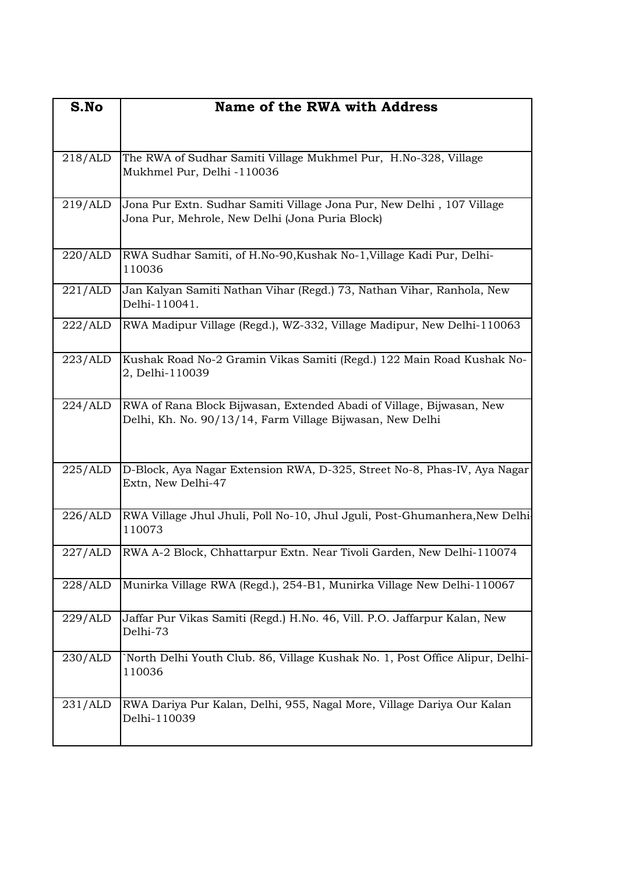| S.No    | Name of the RWA with Address                                                                                                      |
|---------|-----------------------------------------------------------------------------------------------------------------------------------|
|         |                                                                                                                                   |
| 218/ALD | The RWA of Sudhar Samiti Village Mukhmel Pur, H.No-328, Village<br>Mukhmel Pur, Delhi -110036                                     |
| 219/ALD | Jona Pur Extn. Sudhar Samiti Village Jona Pur, New Delhi, 107 Village<br>Jona Pur, Mehrole, New Delhi (Jona Puria Block)          |
| 220/ALD | RWA Sudhar Samiti, of H.No-90, Kushak No-1, Village Kadi Pur, Delhi-<br>110036                                                    |
| 221/ALD | Jan Kalyan Samiti Nathan Vihar (Regd.) 73, Nathan Vihar, Ranhola, New<br>Delhi-110041.                                            |
| 222/ALD | RWA Madipur Village (Regd.), WZ-332, Village Madipur, New Delhi-110063                                                            |
| 223/ALD | Kushak Road No-2 Gramin Vikas Samiti (Regd.) 122 Main Road Kushak No-<br>2, Delhi-110039                                          |
| 224/ALD | RWA of Rana Block Bijwasan, Extended Abadi of Village, Bijwasan, New<br>Delhi, Kh. No. 90/13/14, Farm Village Bijwasan, New Delhi |
| 225/ALD | D-Block, Aya Nagar Extension RWA, D-325, Street No-8, Phas-IV, Aya Nagar<br>Extn, New Delhi-47                                    |
| 226/ALD | RWA Village Jhul Jhuli, Poll No-10, Jhul Jguli, Post-Ghumanhera, New Delhi-<br>110073                                             |
| 227/ALD | RWA A-2 Block, Chhattarpur Extn. Near Tivoli Garden, New Delhi-110074                                                             |
| 228/ALD | Munirka Village RWA (Regd.), 254-B1, Munirka Village New Delhi-110067                                                             |
| 229/ALD | Jaffar Pur Vikas Samiti (Regd.) H.No. 46, Vill. P.O. Jaffarpur Kalan, New<br>Delhi-73                                             |
| 230/ALD | North Delhi Youth Club. 86, Village Kushak No. 1, Post Office Alipur, Delhi-<br>110036                                            |
| 231/ALD | RWA Dariya Pur Kalan, Delhi, 955, Nagal More, Village Dariya Our Kalan<br>Delhi-110039                                            |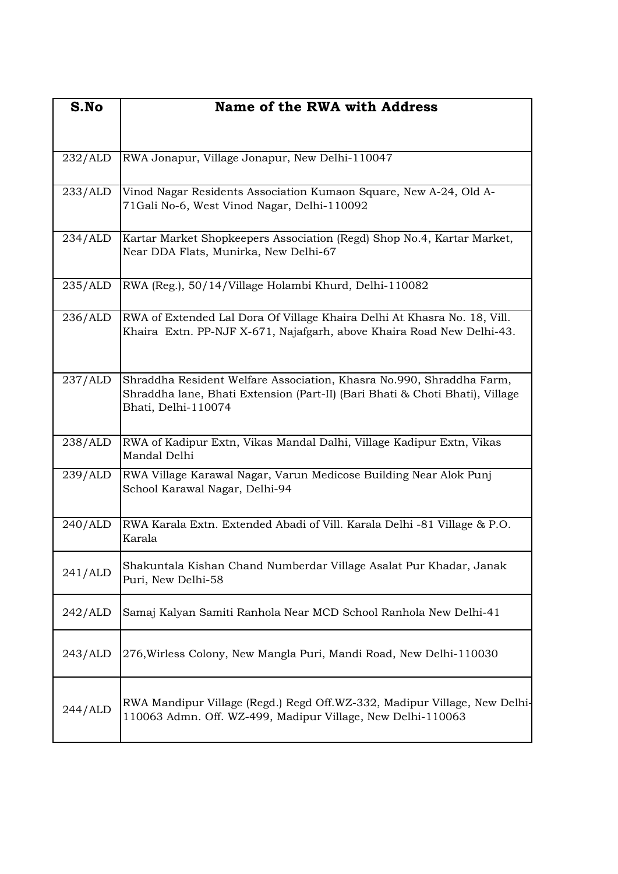| S.No    | Name of the RWA with Address                                                                                                                                                |
|---------|-----------------------------------------------------------------------------------------------------------------------------------------------------------------------------|
| 232/ALD | RWA Jonapur, Village Jonapur, New Delhi-110047                                                                                                                              |
| 233/ALD | Vinod Nagar Residents Association Kumaon Square, New A-24, Old A-<br>71Gali No-6, West Vinod Nagar, Delhi-110092                                                            |
| 234/ALD | Kartar Market Shopkeepers Association (Regd) Shop No.4, Kartar Market,<br>Near DDA Flats, Munirka, New Delhi-67                                                             |
| 235/ALD | RWA (Reg.), 50/14/Village Holambi Khurd, Delhi-110082                                                                                                                       |
| 236/ALD | RWA of Extended Lal Dora Of Village Khaira Delhi At Khasra No. 18, Vill.<br>Khaira Extn. PP-NJF X-671, Najafgarh, above Khaira Road New Delhi-43.                           |
| 237/ALD | Shraddha Resident Welfare Association, Khasra No.990, Shraddha Farm,<br>Shraddha lane, Bhati Extension (Part-II) (Bari Bhati & Choti Bhati), Village<br>Bhati, Delhi-110074 |
| 238/ALD | RWA of Kadipur Extn, Vikas Mandal Dalhi, Village Kadipur Extn, Vikas<br>Mandal Delhi                                                                                        |
| 239/ALD | RWA Village Karawal Nagar, Varun Medicose Building Near Alok Punj<br>School Karawal Nagar, Delhi-94                                                                         |
| 240/ALD | RWA Karala Extn. Extended Abadi of Vill. Karala Delhi -81 Village & P.O.<br>Karala                                                                                          |
| 241/ALD | Shakuntala Kishan Chand Numberdar Village Asalat Pur Khadar, Janak<br>Puri, New Delhi-58                                                                                    |
| 242/ALD | Samaj Kalyan Samiti Ranhola Near MCD School Ranhola New Delhi-41                                                                                                            |
| 243/ALD | 276, Wirless Colony, New Mangla Puri, Mandi Road, New Delhi-110030                                                                                                          |
| 244/ALD | RWA Mandipur Village (Regd.) Regd Off.WZ-332, Madipur Village, New Delhi-<br>110063 Admn. Off. WZ-499, Madipur Village, New Delhi-110063                                    |